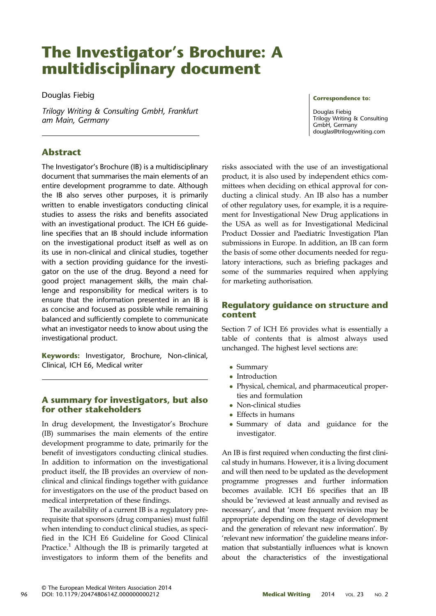# The Investigator's Brochure: A multidisciplinary document

Douglas Fiebig

Trilogy Writing & Consulting GmbH, Frankfurt am Main, Germany

# Abstract

The Investigator's Brochure (IB) is a multidisciplinary document that summarises the main elements of an entire development programme to date. Although the IB also serves other purposes, it is primarily written to enable investigators conducting clinical studies to assess the risks and benefits associated with an investigational product. The ICH E6 guideline specifies that an IB should include information on the investigational product itself as well as on its use in non-clinical and clinical studies, together with a section providing guidance for the investigator on the use of the drug. Beyond a need for good project management skills, the main challenge and responsibility for medical writers is to ensure that the information presented in an IB is as concise and focused as possible while remaining balanced and sufficiently complete to communicate what an investigator needs to know about using the investigational product.

Keywords: Investigator, Brochure, Non-clinical, Clinical, ICH E6, Medical writer

# A summary for investigators, but also for other stakeholders

In drug development, the Investigator's Brochure (IB) summarises the main elements of the entire development programme to date, primarily for the benefit of investigators conducting clinical studies. In addition to information on the investigational product itself, the IB provides an overview of nonclinical and clinical findings together with guidance for investigators on the use of the product based on medical interpretation of these findings.

The availability of a current IB is a regulatory prerequisite that sponsors (drug companies) must fulfil when intending to conduct clinical studies, as specified in the ICH E6 Guideline for Good Clinical Practice.<sup>[1](#page-4-0)</sup> Although the IB is primarily targeted at investigators to inform them of the benefits and risks associated with the use of an investigational product, it is also used by independent ethics committees when deciding on ethical approval for conducting a clinical study. An IB also has a number of other regulatory uses, for example, it is a requirement for Investigational New Drug applications in the USA as well as for Investigational Medicinal Product Dossier and Paediatric Investigation Plan submissions in Europe. In addition, an IB can form the basis of some other documents needed for regulatory interactions, such as briefing packages and some of the summaries required when applying for marketing authorisation.

# Regulatory guidance on structure and content

Section 7 of ICH E6 provides what is essentially a table of contents that is almost always used unchanged. The highest level sections are:

- Summary
- Introduction
- Physical, chemical, and pharmaceutical properties and formulation
- Non-clinical studies
- Effects in humans
- Summary of data and guidance for the investigator.

An IB is first required when conducting the first clinical study in humans. However, it is a living document and will then need to be updated as the development programme progresses and further information becomes available. ICH E6 specifies that an IB should be 'reviewed at least annually and revised as necessary', and that 'more frequent revision may be appropriate depending on the stage of development and the generation of relevant new information'. By 'relevant new information' the guideline means information that substantially influences what is known about the characteristics of the investigational

Correspondence to:

Douglas Fiebig Trilogy Writing & Consulting GmbH, Germany [douglas@trilogywriting.com](mailto:<alt-title alt-title-type=)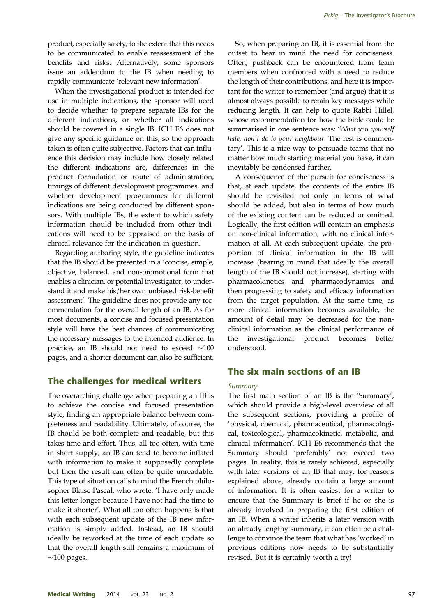product, especially safety, to the extent that this needs to be communicated to enable reassessment of the benefits and risks. Alternatively, some sponsors issue an addendum to the IB when needing to rapidly communicate 'relevant new information'.

When the investigational product is intended for use in multiple indications, the sponsor will need to decide whether to prepare separate IBs for the different indications, or whether all indications should be covered in a single IB. ICH E6 does not give any specific guidance on this, so the approach taken is often quite subjective. Factors that can influence this decision may include how closely related the different indications are, differences in the product formulation or route of administration, timings of different development programmes, and whether development programmes for different indications are being conducted by different sponsors. With multiple IBs, the extent to which safety information should be included from other indications will need to be appraised on the basis of clinical relevance for the indication in question.

Regarding authoring style, the guideline indicates that the IB should be presented in a 'concise, simple, objective, balanced, and non-promotional form that enables a clinician, or potential investigator, to understand it and make his/her own unbiased risk-benefit assessment'. The guideline does not provide any recommendation for the overall length of an IB. As for most documents, a concise and focused presentation style will have the best chances of communicating the necessary messages to the intended audience. In practice, an IB should not need to exceed ∼100 pages, and a shorter document can also be sufficient.

# The challenges for medical writers

The overarching challenge when preparing an IB is to achieve the concise and focused presentation style, finding an appropriate balance between completeness and readability. Ultimately, of course, the IB should be both complete and readable, but this takes time and effort. Thus, all too often, with time in short supply, an IB can tend to become inflated with information to make it supposedly complete but then the result can often be quite unreadable. This type of situation calls to mind the French philosopher Blaise Pascal, who wrote: 'I have only made this letter longer because I have not had the time to make it shorter'. What all too often happens is that with each subsequent update of the IB new information is simply added. Instead, an IB should ideally be reworked at the time of each update so that the overall length still remains a maximum of  $~100$  pages.

So, when preparing an IB, it is essential from the outset to bear in mind the need for conciseness. Often, pushback can be encountered from team members when confronted with a need to reduce the length of their contributions, and here it is important for the writer to remember (and argue) that it is almost always possible to retain key messages while reducing length. It can help to quote Rabbi Hillel, whose recommendation for how the bible could be summarised in one sentence was: 'What you yourself hate, don't do to your neighbour. The rest is commentary'. This is a nice way to persuade teams that no matter how much starting material you have, it can inevitably be condensed further.

A consequence of the pursuit for conciseness is that, at each update, the contents of the entire IB should be revisited not only in terms of what should be added, but also in terms of how much of the existing content can be reduced or omitted. Logically, the first edition will contain an emphasis on non-clinical information, with no clinical information at all. At each subsequent update, the proportion of clinical information in the IB will increase (bearing in mind that ideally the overall length of the IB should not increase), starting with pharmacokinetics and pharmacodynamics and then progressing to safety and efficacy information from the target population. At the same time, as more clinical information becomes available, the amount of detail may be decreased for the nonclinical information as the clinical performance of the investigational product becomes better understood.

# The six main sections of an IB

#### **Summary**

The first main section of an IB is the 'Summary', which should provide a high-level overview of all the subsequent sections, providing a profile of 'physical, chemical, pharmaceutical, pharmacological, toxicological, pharmacokinetic, metabolic, and clinical information'. ICH E6 recommends that the Summary should 'preferably' not exceed two pages. In reality, this is rarely achieved, especially with later versions of an IB that may, for reasons explained above, already contain a large amount of information. It is often easiest for a writer to ensure that the Summary is brief if he or she is already involved in preparing the first edition of an IB. When a writer inherits a later version with an already lengthy summary, it can often be a challenge to convince the team that what has 'worked' in previous editions now needs to be substantially revised. But it is certainly worth a try!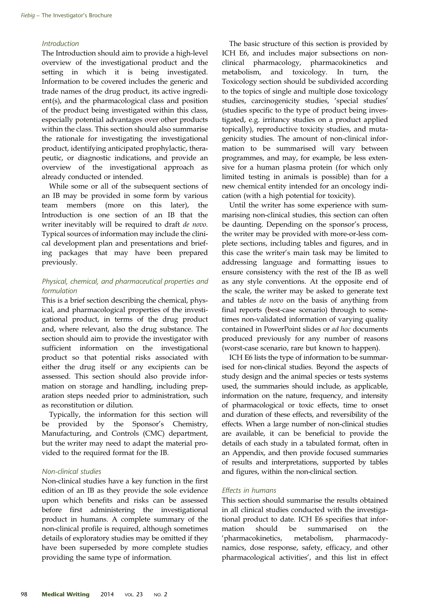### Introduction

The Introduction should aim to provide a high-level overview of the investigational product and the setting in which it is being investigated. Information to be covered includes the generic and trade names of the drug product, its active ingredient(s), and the pharmacological class and position of the product being investigated within this class, especially potential advantages over other products within the class. This section should also summarise the rationale for investigating the investigational product, identifying anticipated prophylactic, therapeutic, or diagnostic indications, and provide an overview of the investigational approach as already conducted or intended.

While some or all of the subsequent sections of an IB may be provided in some form by various team members (more on this later), the Introduction is one section of an IB that the writer inevitably will be required to draft de novo. Typical sources of information may include the clinical development plan and presentations and briefing packages that may have been prepared previously.

## Physical, chemical, and pharmaceutical properties and formulation

This is a brief section describing the chemical, physical, and pharmacological properties of the investigational product, in terms of the drug product and, where relevant, also the drug substance. The section should aim to provide the investigator with sufficient information on the investigational product so that potential risks associated with either the drug itself or any excipients can be assessed. This section should also provide information on storage and handling, including preparation steps needed prior to administration, such as reconstitution or dilution.

Typically, the information for this section will be provided by the Sponsor's Chemistry, Manufacturing, and Controls (CMC) department, but the writer may need to adapt the material provided to the required format for the IB.

#### Non-clinical studies

Non-clinical studies have a key function in the first edition of an IB as they provide the sole evidence upon which benefits and risks can be assessed before first administering the investigational product in humans. A complete summary of the non-clinical profile is required, although sometimes details of exploratory studies may be omitted if they have been superseded by more complete studies providing the same type of information.

The basic structure of this section is provided by ICH E6, and includes major subsections on nonclinical pharmacology, pharmacokinetics and metabolism, and toxicology. In turn, the Toxicology section should be subdivided according to the topics of single and multiple dose toxicology studies, carcinogenicity studies, 'special studies' (studies specific to the type of product being investigated, e.g. irritancy studies on a product applied topically), reproductive toxicity studies, and mutagenicity studies. The amount of non-clinical information to be summarised will vary between programmes, and may, for example, be less extensive for a human plasma protein (for which only limited testing in animals is possible) than for a new chemical entity intended for an oncology indication (with a high potential for toxicity).

Until the writer has some experience with summarising non-clinical studies, this section can often be daunting. Depending on the sponsor's process, the writer may be provided with more-or-less complete sections, including tables and figures, and in this case the writer's main task may be limited to addressing language and formatting issues to ensure consistency with the rest of the IB as well as any style conventions. At the opposite end of the scale, the writer may be asked to generate text and tables de novo on the basis of anything from final reports (best-case scenario) through to sometimes non-validated information of varying quality contained in PowerPoint slides or ad hoc documents produced previously for any number of reasons (worst-case scenario, rare but known to happen).

ICH E6 lists the type of information to be summarised for non-clinical studies. Beyond the aspects of study design and the animal species or tests systems used, the summaries should include, as applicable, information on the nature, frequency, and intensity of pharmacological or toxic effects, time to onset and duration of these effects, and reversibility of the effects. When a large number of non-clinical studies are available, it can be beneficial to provide the details of each study in a tabulated format, often in an Appendix, and then provide focused summaries of results and interpretations, supported by tables and figures, within the non-clinical section.

#### Effects in humans

This section should summarise the results obtained in all clinical studies conducted with the investigational product to date. ICH E6 specifies that information should be summarised on the 'pharmacokinetics, metabolism, pharmacodynamics, dose response, safety, efficacy, and other pharmacological activities', and this list in effect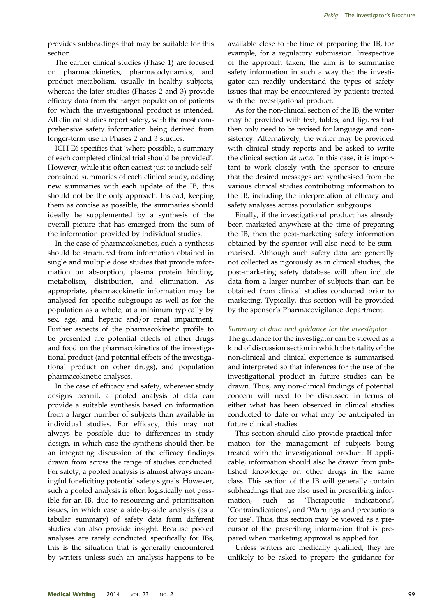provides subheadings that may be suitable for this section.

The earlier clinical studies (Phase 1) are focused on pharmacokinetics, pharmacodynamics, and product metabolism, usually in healthy subjects, whereas the later studies (Phases 2 and 3) provide efficacy data from the target population of patients for which the investigational product is intended. All clinical studies report safety, with the most comprehensive safety information being derived from longer-term use in Phases 2 and 3 studies.

ICH E6 specifies that 'where possible, a summary of each completed clinical trial should be provided'. However, while it is often easiest just to include selfcontained summaries of each clinical study, adding new summaries with each update of the IB, this should not be the only approach. Instead, keeping them as concise as possible, the summaries should ideally be supplemented by a synthesis of the overall picture that has emerged from the sum of the information provided by individual studies.

In the case of pharmacokinetics, such a synthesis should be structured from information obtained in single and multiple dose studies that provide information on absorption, plasma protein binding, metabolism, distribution, and elimination. As appropriate, pharmacokinetic information may be analysed for specific subgroups as well as for the population as a whole, at a minimum typically by sex, age, and hepatic and/or renal impairment. Further aspects of the pharmacokinetic profile to be presented are potential effects of other drugs and food on the pharmacokinetics of the investigational product (and potential effects of the investigational product on other drugs), and population pharmacokinetic analyses.

In the case of efficacy and safety, wherever study designs permit, a pooled analysis of data can provide a suitable synthesis based on information from a larger number of subjects than available in individual studies. For efficacy, this may not always be possible due to differences in study design, in which case the synthesis should then be an integrating discussion of the efficacy findings drawn from across the range of studies conducted. For safety, a pooled analysis is almost always meaningful for eliciting potential safety signals. However, such a pooled analysis is often logistically not possible for an IB, due to resourcing and prioritisation issues, in which case a side-by-side analysis (as a tabular summary) of safety data from different studies can also provide insight. Because pooled analyses are rarely conducted specifically for IBs, this is the situation that is generally encountered by writers unless such an analysis happens to be available close to the time of preparing the IB, for example, for a regulatory submission. Irrespective of the approach taken, the aim is to summarise safety information in such a way that the investigator can readily understand the types of safety issues that may be encountered by patients treated with the investigational product.

As for the non-clinical section of the IB, the writer may be provided with text, tables, and figures that then only need to be revised for language and consistency. Alternatively, the writer may be provided with clinical study reports and be asked to write the clinical section de novo. In this case, it is important to work closely with the sponsor to ensure that the desired messages are synthesised from the various clinical studies contributing information to the IB, including the interpretation of efficacy and safety analyses across population subgroups.

Finally, if the investigational product has already been marketed anywhere at the time of preparing the IB, then the post-marketing safety information obtained by the sponsor will also need to be summarised. Although such safety data are generally not collected as rigorously as in clinical studies, the post-marketing safety database will often include data from a larger number of subjects than can be obtained from clinical studies conducted prior to marketing. Typically, this section will be provided by the sponsor's Pharmacovigilance department.

# Summary of data and guidance for the investigator

The guidance for the investigator can be viewed as a kind of discussion section in which the totality of the non-clinical and clinical experience is summarised and interpreted so that inferences for the use of the investigational product in future studies can be drawn. Thus, any non-clinical findings of potential concern will need to be discussed in terms of either what has been observed in clinical studies conducted to date or what may be anticipated in future clinical studies.

This section should also provide practical information for the management of subjects being treated with the investigational product. If applicable, information should also be drawn from published knowledge on other drugs in the same class. This section of the IB will generally contain subheadings that are also used in prescribing information, such as 'Therapeutic indications', 'Contraindications', and 'Warnings and precautions for use'. Thus, this section may be viewed as a precursor of the prescribing information that is prepared when marketing approval is applied for.

Unless writers are medically qualified, they are unlikely to be asked to prepare the guidance for